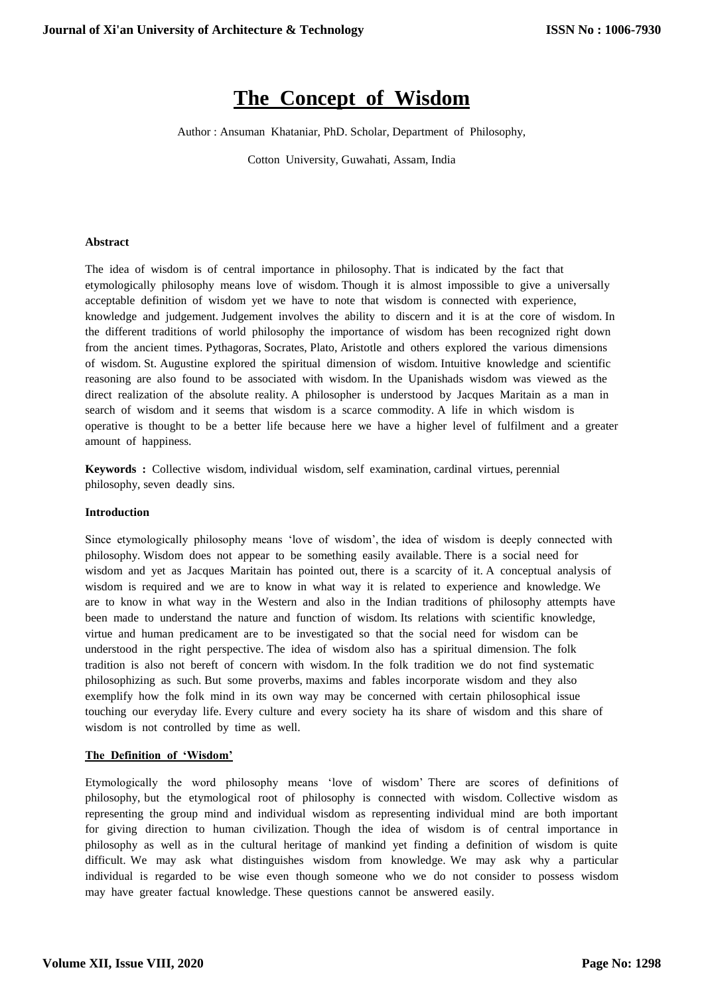# **The Concept of Wisdom**

Author : Ansuman Khataniar, PhD. Scholar, Department of Philosophy,

Cotton University, Guwahati, Assam, India

#### **Abstract**

The idea of wisdom is of central importance in philosophy. That is indicated by the fact that etymologically philosophy means love of wisdom. Though it is almost impossible to give a universally acceptable definition of wisdom yet we have to note that wisdom is connected with experience, knowledge and judgement. Judgement involves the ability to discern and it is at the core of wisdom. In the different traditions of world philosophy the importance of wisdom has been recognized right down from the ancient times. Pythagoras, Socrates, Plato, Aristotle and others explored the various dimensions of wisdom. St. Augustine explored the spiritual dimension of wisdom. Intuitive knowledge and scientific reasoning are also found to be associated with wisdom. In the Upanishads wisdom was viewed as the direct realization of the absolute reality. A philosopher is understood by Jacques Maritain as a man in search of wisdom and it seems that wisdom is a scarce commodity. A life in which wisdom is operative is thought to be a better life because here we have a higher level of fulfilment and a greater amount of happiness.

**Keywords :** Collective wisdom, individual wisdom, self examination, cardinal virtues, perennial philosophy, seven deadly sins.

## **Introduction**

Since etymologically philosophy means 'love of wisdom', the idea of wisdom is deeply connected with philosophy. Wisdom does not appear to be something easily available. There is a social need for wisdom and yet as Jacques Maritain has pointed out, there is a scarcity of it. A conceptual analysis of wisdom is required and we are to know in what way it is related to experience and knowledge. We are to know in what way in the Western and also in the Indian traditions of philosophy attempts have been made to understand the nature and function of wisdom. Its relations with scientific knowledge, virtue and human predicament are to be investigated so that the social need for wisdom can be understood in the right perspective. The idea of wisdom also has a spiritual dimension. The folk tradition is also not bereft of concern with wisdom. In the folk tradition we do not find systematic philosophizing as such. But some proverbs, maxims and fables incorporate wisdom and they also exemplify how the folk mind in its own way may be concerned with certain philosophical issue touching our everyday life. Every culture and every society ha its share of wisdom and this share of wisdom is not controlled by time as well.

## **The Definition of 'Wisdom'**

Etymologically the word philosophy means 'love of wisdom' There are scores of definitions of philosophy, but the etymological root of philosophy is connected with wisdom. Collective wisdom as representing the group mind and individual wisdom as representing individual mind are both important for giving direction to human civilization. Though the idea of wisdom is of central importance in philosophy as well as in the cultural heritage of mankind yet finding a definition of wisdom is quite difficult. We may ask what distinguishes wisdom from knowledge. We may ask why a particular individual is regarded to be wise even though someone who we do not consider to possess wisdom may have greater factual knowledge. These questions cannot be answered easily.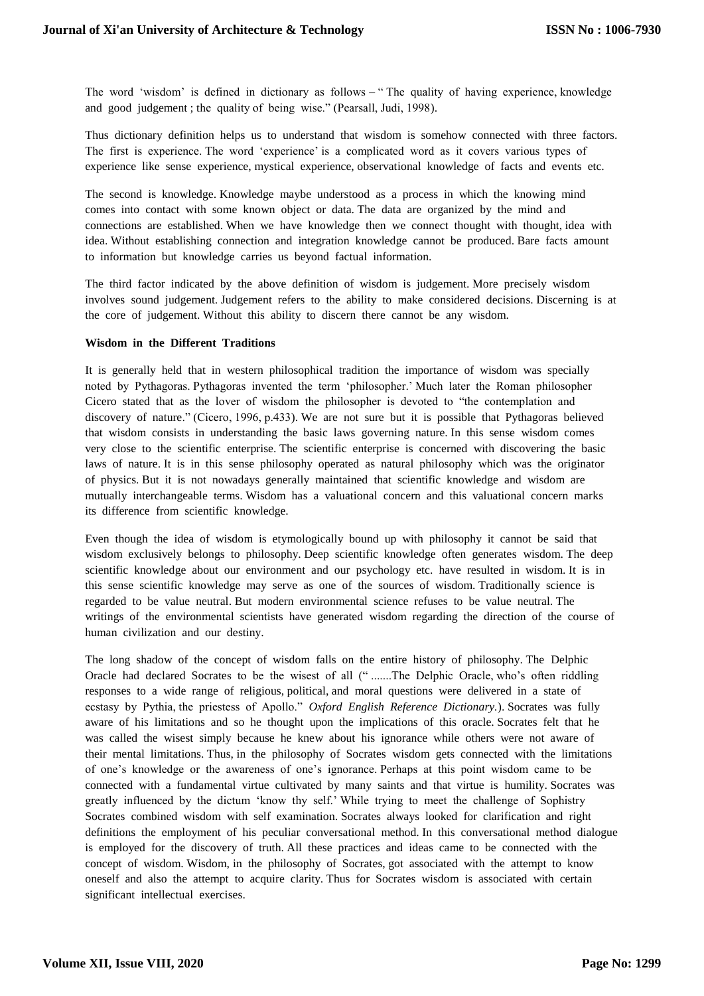The word 'wisdom' is defined in dictionary as follows – " The quality of having experience, knowledge and good judgement ; the quality of being wise." (Pearsall, Judi, 1998).

Thus dictionary definition helps us to understand that wisdom is somehow connected with three factors. The first is experience. The word 'experience' is a complicated word as it covers various types of experience like sense experience, mystical experience, observational knowledge of facts and events etc.

The second is knowledge. Knowledge maybe understood as a process in which the knowing mind comes into contact with some known object or data. The data are organized by the mind and connections are established. When we have knowledge then we connect thought with thought, idea with idea. Without establishing connection and integration knowledge cannot be produced. Bare facts amount to information but knowledge carries us beyond factual information.

The third factor indicated by the above definition of wisdom is judgement. More precisely wisdom involves sound judgement. Judgement refers to the ability to make considered decisions. Discerning is at the core of judgement. Without this ability to discern there cannot be any wisdom.

## **Wisdom in the Different Traditions**

It is generally held that in western philosophical tradition the importance of wisdom was specially noted by Pythagoras. Pythagoras invented the term 'philosopher.' Much later the Roman philosopher Cicero stated that as the lover of wisdom the philosopher is devoted to "the contemplation and discovery of nature." (Cicero, 1996, p.433). We are not sure but it is possible that Pythagoras believed that wisdom consists in understanding the basic laws governing nature. In this sense wisdom comes very close to the scientific enterprise. The scientific enterprise is concerned with discovering the basic laws of nature. It is in this sense philosophy operated as natural philosophy which was the originator of physics. But it is not nowadays generally maintained that scientific knowledge and wisdom are mutually interchangeable terms. Wisdom has a valuational concern and this valuational concern marks its difference from scientific knowledge.

Even though the idea of wisdom is etymologically bound up with philosophy it cannot be said that wisdom exclusively belongs to philosophy. Deep scientific knowledge often generates wisdom. The deep scientific knowledge about our environment and our psychology etc. have resulted in wisdom. It is in this sense scientific knowledge may serve as one of the sources of wisdom. Traditionally science is regarded to be value neutral. But modern environmental science refuses to be value neutral. The writings of the environmental scientists have generated wisdom regarding the direction of the course of human civilization and our destiny.

The long shadow of the concept of wisdom falls on the entire history of philosophy. The Delphic Oracle had declared Socrates to be the wisest of all (" .......The Delphic Oracle, who's often riddling responses to a wide range of religious, political, and moral questions were delivered in a state of ecstasy by Pythia, the priestess of Apollo." *Oxford English Reference Dictionary.*). Socrates was fully aware of his limitations and so he thought upon the implications of this oracle. Socrates felt that he was called the wisest simply because he knew about his ignorance while others were not aware of their mental limitations. Thus, in the philosophy of Socrates wisdom gets connected with the limitations of one's knowledge or the awareness of one's ignorance. Perhaps at this point wisdom came to be connected with a fundamental virtue cultivated by many saints and that virtue is humility. Socrates was greatly influenced by the dictum 'know thy self.' While trying to meet the challenge of Sophistry Socrates combined wisdom with self examination. Socrates always looked for clarification and right definitions the employment of his peculiar conversational method. In this conversational method dialogue is employed for the discovery of truth. All these practices and ideas came to be connected with the concept of wisdom. Wisdom, in the philosophy of Socrates, got associated with the attempt to know oneself and also the attempt to acquire clarity. Thus for Socrates wisdom is associated with certain significant intellectual exercises.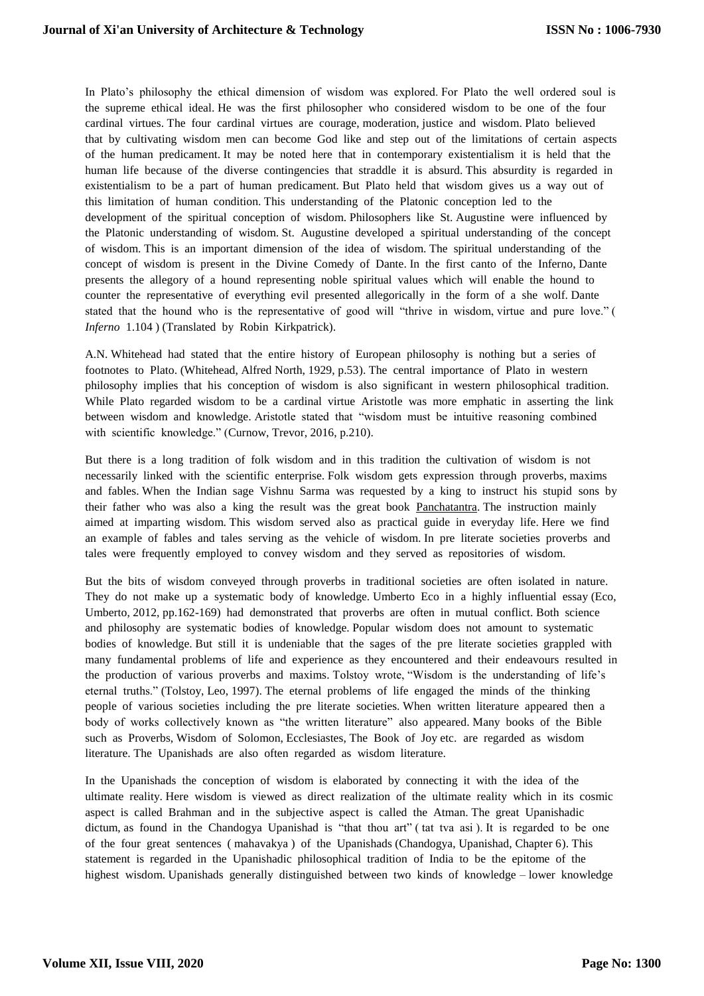In Plato's philosophy the ethical dimension of wisdom was explored. For Plato the well ordered soul is the supreme ethical ideal. He was the first philosopher who considered wisdom to be one of the four cardinal virtues. The four cardinal virtues are courage, moderation, justice and wisdom. Plato believed that by cultivating wisdom men can become God like and step out of the limitations of certain aspects of the human predicament. It may be noted here that in contemporary existentialism it is held that the human life because of the diverse contingencies that straddle it is absurd. This absurdity is regarded in existentialism to be a part of human predicament. But Plato held that wisdom gives us a way out of this limitation of human condition. This understanding of the Platonic conception led to the development of the spiritual conception of wisdom. Philosophers like St. Augustine were influenced by the Platonic understanding of wisdom. St. Augustine developed a spiritual understanding of the concept of wisdom. This is an important dimension of the idea of wisdom. The spiritual understanding of the concept of wisdom is present in the Divine Comedy of Dante. In the first canto of the Inferno, Dante presents the allegory of a hound representing noble spiritual values which will enable the hound to counter the representative of everything evil presented allegorically in the form of a she wolf. Dante stated that the hound who is the representative of good will "thrive in wisdom, virtue and pure love." ( *Inferno* 1.104 ) (Translated by Robin Kirkpatrick).

A.N. Whitehead had stated that the entire history of European philosophy is nothing but a series of footnotes to Plato. (Whitehead, Alfred North, 1929, p.53). The central importance of Plato in western philosophy implies that his conception of wisdom is also significant in western philosophical tradition. While Plato regarded wisdom to be a cardinal virtue Aristotle was more emphatic in asserting the link between wisdom and knowledge. Aristotle stated that "wisdom must be intuitive reasoning combined with scientific knowledge." (Curnow, Trevor, 2016, p.210).

But there is a long tradition of folk wisdom and in this tradition the cultivation of wisdom is not necessarily linked with the scientific enterprise. Folk wisdom gets expression through proverbs, maxims and fables. When the Indian sage Vishnu Sarma was requested by a king to instruct his stupid sons by their father who was also a king the result was the great book Panchatantra. The instruction mainly aimed at imparting wisdom. This wisdom served also as practical guide in everyday life. Here we find an example of fables and tales serving as the vehicle of wisdom. In pre literate societies proverbs and tales were frequently employed to convey wisdom and they served as repositories of wisdom.

But the bits of wisdom conveyed through proverbs in traditional societies are often isolated in nature. They do not make up a systematic body of knowledge. Umberto Eco in a highly influential essay (Eco, Umberto, 2012, pp.162-169) had demonstrated that proverbs are often in mutual conflict. Both science and philosophy are systematic bodies of knowledge. Popular wisdom does not amount to systematic bodies of knowledge. But still it is undeniable that the sages of the pre literate societies grappled with many fundamental problems of life and experience as they encountered and their endeavours resulted in the production of various proverbs and maxims. Tolstoy wrote, "Wisdom is the understanding of life's eternal truths." (Tolstoy, Leo, 1997). The eternal problems of life engaged the minds of the thinking people of various societies including the pre literate societies. When written literature appeared then a body of works collectively known as "the written literature" also appeared. Many books of the Bible such as Proverbs, Wisdom of Solomon, Ecclesiastes, The Book of Joy etc. are regarded as wisdom literature. The Upanishads are also often regarded as wisdom literature.

In the Upanishads the conception of wisdom is elaborated by connecting it with the idea of the ultimate reality. Here wisdom is viewed as direct realization of the ultimate reality which in its cosmic aspect is called Brahman and in the subjective aspect is called the Atman. The great Upanishadic dictum, as found in the Chandogya Upanishad is "that thou art" (tat tva asi). It is regarded to be one of the four great sentences ( mahavakya ) of the Upanishads (Chandogya, Upanishad, Chapter 6). This statement is regarded in the Upanishadic philosophical tradition of India to be the epitome of the highest wisdom. Upanishads generally distinguished between two kinds of knowledge – lower knowledge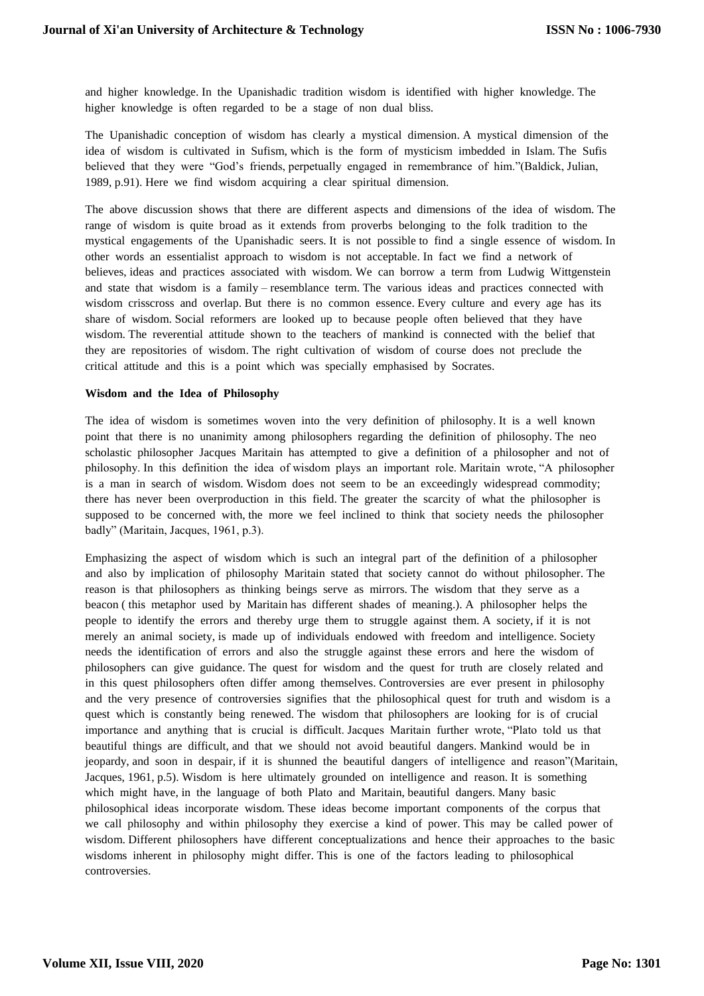and higher knowledge. In the Upanishadic tradition wisdom is identified with higher knowledge. The higher knowledge is often regarded to be a stage of non dual bliss.

The Upanishadic conception of wisdom has clearly a mystical dimension. A mystical dimension of the idea of wisdom is cultivated in Sufism, which is the form of mysticism imbedded in Islam. The Sufis believed that they were "God's friends, perpetually engaged in remembrance of him."(Baldick, Julian, 1989, p.91). Here we find wisdom acquiring a clear spiritual dimension.

The above discussion shows that there are different aspects and dimensions of the idea of wisdom. The range of wisdom is quite broad as it extends from proverbs belonging to the folk tradition to the mystical engagements of the Upanishadic seers. It is not possible to find a single essence of wisdom. In other words an essentialist approach to wisdom is not acceptable. In fact we find a network of believes, ideas and practices associated with wisdom. We can borrow a term from Ludwig Wittgenstein and state that wisdom is a family – resemblance term. The various ideas and practices connected with wisdom crisscross and overlap. But there is no common essence. Every culture and every age has its share of wisdom. Social reformers are looked up to because people often believed that they have wisdom. The reverential attitude shown to the teachers of mankind is connected with the belief that they are repositories of wisdom. The right cultivation of wisdom of course does not preclude the critical attitude and this is a point which was specially emphasised by Socrates.

#### **Wisdom and the Idea of Philosophy**

The idea of wisdom is sometimes woven into the very definition of philosophy. It is a well known point that there is no unanimity among philosophers regarding the definition of philosophy. The neo scholastic philosopher Jacques Maritain has attempted to give a definition of a philosopher and not of philosophy. In this definition the idea of wisdom plays an important role. Maritain wrote, "A philosopher is a man in search of wisdom. Wisdom does not seem to be an exceedingly widespread commodity; there has never been overproduction in this field. The greater the scarcity of what the philosopher is supposed to be concerned with, the more we feel inclined to think that society needs the philosopher badly" (Maritain, Jacques, 1961, p.3).

Emphasizing the aspect of wisdom which is such an integral part of the definition of a philosopher and also by implication of philosophy Maritain stated that society cannot do without philosopher. The reason is that philosophers as thinking beings serve as mirrors. The wisdom that they serve as a beacon ( this metaphor used by Maritain has different shades of meaning.). A philosopher helps the people to identify the errors and thereby urge them to struggle against them. A society, if it is not merely an animal society, is made up of individuals endowed with freedom and intelligence. Society needs the identification of errors and also the struggle against these errors and here the wisdom of philosophers can give guidance. The quest for wisdom and the quest for truth are closely related and in this quest philosophers often differ among themselves. Controversies are ever present in philosophy and the very presence of controversies signifies that the philosophical quest for truth and wisdom is a quest which is constantly being renewed. The wisdom that philosophers are looking for is of crucial importance and anything that is crucial is difficult. Jacques Maritain further wrote, "Plato told us that beautiful things are difficult, and that we should not avoid beautiful dangers. Mankind would be in jeopardy, and soon in despair, if it is shunned the beautiful dangers of intelligence and reason"(Maritain, Jacques, 1961, p.5). Wisdom is here ultimately grounded on intelligence and reason. It is something which might have, in the language of both Plato and Maritain, beautiful dangers. Many basic philosophical ideas incorporate wisdom. These ideas become important components of the corpus that we call philosophy and within philosophy they exercise a kind of power. This may be called power of wisdom. Different philosophers have different conceptualizations and hence their approaches to the basic wisdoms inherent in philosophy might differ. This is one of the factors leading to philosophical controversies.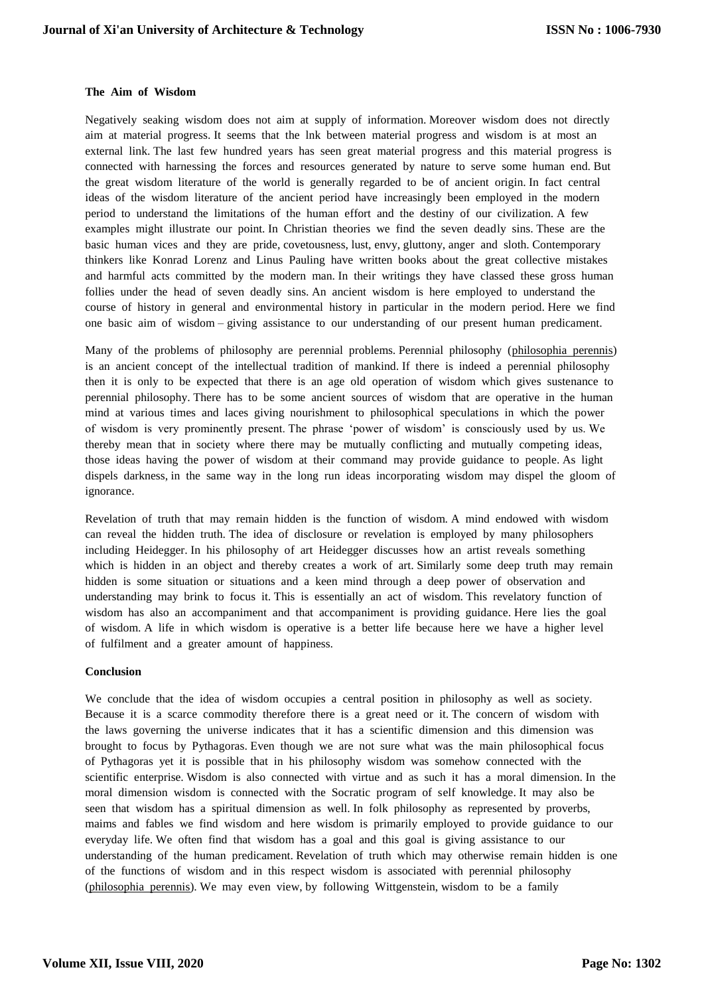## **The Aim of Wisdom**

Negatively seaking wisdom does not aim at supply of information. Moreover wisdom does not directly aim at material progress. It seems that the lnk between material progress and wisdom is at most an external link. The last few hundred years has seen great material progress and this material progress is connected with harnessing the forces and resources generated by nature to serve some human end. But the great wisdom literature of the world is generally regarded to be of ancient origin. In fact central ideas of the wisdom literature of the ancient period have increasingly been employed in the modern period to understand the limitations of the human effort and the destiny of our civilization. A few examples might illustrate our point. In Christian theories we find the seven deadly sins. These are the basic human vices and they are pride, covetousness, lust, envy, gluttony, anger and sloth. Contemporary thinkers like Konrad Lorenz and Linus Pauling have written books about the great collective mistakes and harmful acts committed by the modern man. In their writings they have classed these gross human follies under the head of seven deadly sins. An ancient wisdom is here employed to understand the course of history in general and environmental history in particular in the modern period. Here we find one basic aim of wisdom – giving assistance to our understanding of our present human predicament.

Many of the problems of philosophy are perennial problems. Perennial philosophy (philosophia perennis) is an ancient concept of the intellectual tradition of mankind. If there is indeed a perennial philosophy then it is only to be expected that there is an age old operation of wisdom which gives sustenance to perennial philosophy. There has to be some ancient sources of wisdom that are operative in the human mind at various times and laces giving nourishment to philosophical speculations in which the power of wisdom is very prominently present. The phrase 'power of wisdom' is consciously used by us. We thereby mean that in society where there may be mutually conflicting and mutually competing ideas, those ideas having the power of wisdom at their command may provide guidance to people. As light dispels darkness, in the same way in the long run ideas incorporating wisdom may dispel the gloom of ignorance.

Revelation of truth that may remain hidden is the function of wisdom. A mind endowed with wisdom can reveal the hidden truth. The idea of disclosure or revelation is employed by many philosophers including Heidegger. In his philosophy of art Heidegger discusses how an artist reveals something which is hidden in an object and thereby creates a work of art. Similarly some deep truth may remain hidden is some situation or situations and a keen mind through a deep power of observation and understanding may brink to focus it. This is essentially an act of wisdom. This revelatory function of wisdom has also an accompaniment and that accompaniment is providing guidance. Here lies the goal of wisdom. A life in which wisdom is operative is a better life because here we have a higher level of fulfilment and a greater amount of happiness.

#### **Conclusion**

We conclude that the idea of wisdom occupies a central position in philosophy as well as society. Because it is a scarce commodity therefore there is a great need or it. The concern of wisdom with the laws governing the universe indicates that it has a scientific dimension and this dimension was brought to focus by Pythagoras. Even though we are not sure what was the main philosophical focus of Pythagoras yet it is possible that in his philosophy wisdom was somehow connected with the scientific enterprise. Wisdom is also connected with virtue and as such it has a moral dimension. In the moral dimension wisdom is connected with the Socratic program of self knowledge. It may also be seen that wisdom has a spiritual dimension as well. In folk philosophy as represented by proverbs, maims and fables we find wisdom and here wisdom is primarily employed to provide guidance to our everyday life. We often find that wisdom has a goal and this goal is giving assistance to our understanding of the human predicament. Revelation of truth which may otherwise remain hidden is one of the functions of wisdom and in this respect wisdom is associated with perennial philosophy (philosophia perennis). We may even view, by following Wittgenstein, wisdom to be a family